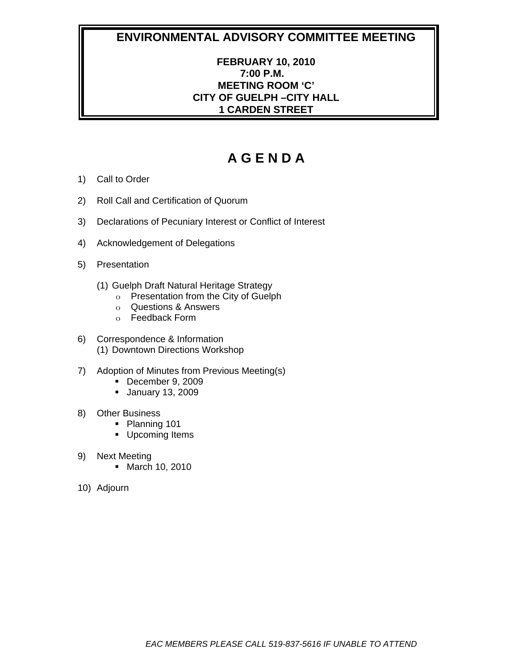## **FEBRUARY 10, 2010 7:00 P.M. MEETING ROOM 'C' CITY OF GUELPH –CITY HALL 1 CARDEN STREET**

- 1) Call to Order
- 2) Roll Call and Certification of Quorum
- 3) Declarations of Pecuniary Interest or Conflict of Interest
- 4) Acknowledgement of Delegations
- 5) Presentation
	- (1) Guelph Draft Natural Heritage Strategy
		- o Presentation from the City of Guelph
		- o Questions & Answers
		- o Feedback Form
- 6) Correspondence & Information (1) Downtown Directions Workshop
- 7) Adoption of Minutes from Previous Meeting(s)
	- December 9, 2009
	- January 13, 2009
- 8) Other Business
	- Planning 101
	- **Upcoming Items**
- 9) Next Meeting
	- **March 10, 2010**
- 10) Adjourn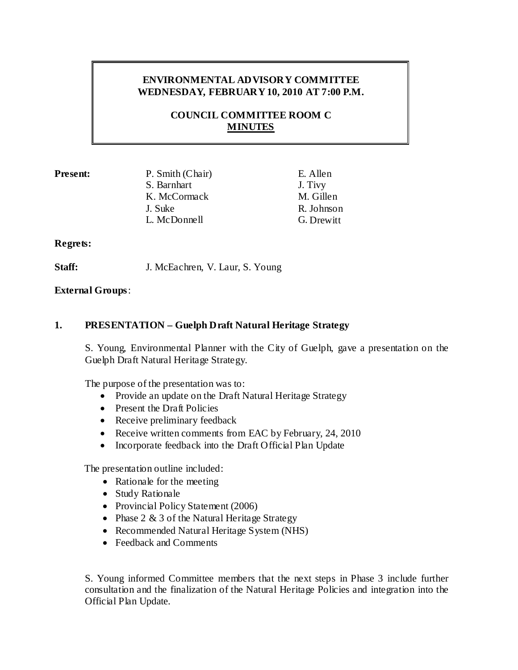## **ENVIRONMENTAL ADVISORY COMMITTEE WEDNESDAY, FEBRUARY 10, 2010 AT 7:00 P.M.**

## **COUNCIL COMMITTEE ROOM C MINUTES**

**Present:** P. Smith (Chair) E. Allen S. Barnhart J. Tivy K. McCormack M. Gillen J. Suke R. Johnson L. McDonnell G. Drewitt

#### **Regrets:**

**Staff:** J. McEachren, V. Laur, S. Young

## **External Groups**:

## **1. PRESENTATION – Guelph Draft Natural Heritage Strategy**

S. Young, Environmental Planner with the City of Guelph, gave a presentation on the Guelph Draft Natural Heritage Strategy.

The purpose of the presentation was to:

- Provide an update on the Draft Natural Heritage Strategy
- Present the Draft Policies
- Receive preliminary feedback
- Receive written comments from EAC by February, 24, 2010
- Incorporate feedback into the Draft Official Plan Update

The presentation outline included:

- Rationale for the meeting
- Study Rationale
- Provincial Policy Statement (2006)
- Phase 2 & 3 of the Natural Heritage Strategy
- Recommended Natural Heritage System (NHS)
- Feedback and Comments

S. Young informed Committee members that the next steps in Phase 3 include further consultation and the finalization of the Natural Heritage Policies and integration into the Official Plan Update.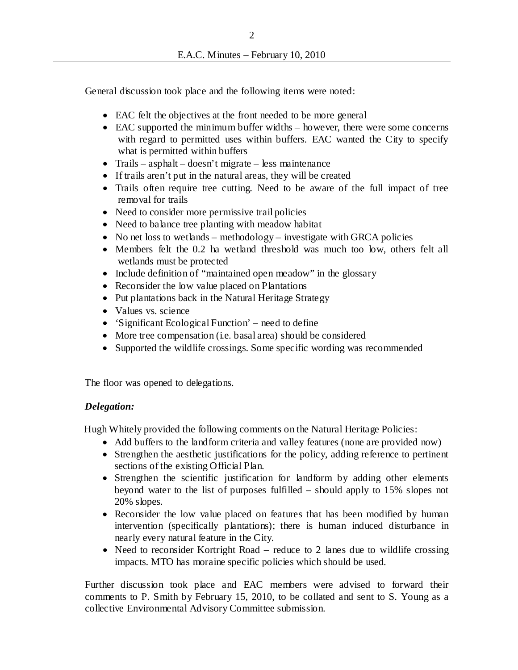General discussion took place and the following items were noted:

- EAC felt the objectives at the front needed to be more general
- EAC supported the minimum buffer widths however, there were some concerns with regard to permitted uses within buffers. EAC wanted the City to specify what is permitted within buffers
- Trails asphalt doesn't migrate less maintenance
- If trails aren't put in the natural areas, they will be created
- Trails often require tree cutting. Need to be aware of the full impact of tree removal for trails
- Need to consider more permissive trail policies
- Need to balance tree planting with meadow habitat
- No net loss to wetlands methodology investigate with GRCA policies
- Members felt the 0.2 ha wetland threshold was much too low, others felt all wetlands must be protected
- Include definition of "maintained open meadow" in the glossary
- Reconsider the low value placed on Plantations
- Put plantations back in the Natural Heritage Strategy
- Values vs. science
- 'Significant Ecological Function' need to define
- More tree compensation (i.e. basal area) should be considered
- Supported the wildlife crossings. Some specific wording was recommended

The floor was opened to delegations.

#### *Delegation:*

Hugh Whitely provided the following comments on the Natural Heritage Policies:

- Add buffers to the landform criteria and valley features (none are provided now)
- Strengthen the aesthetic justifications for the policy, adding reference to pertinent sections of the existing Official Plan.
- Strengthen the scientific justification for landform by adding other elements beyond water to the list of purposes fulfilled – should apply to 15% slopes not 20% slopes.
- Reconsider the low value placed on features that has been modified by human intervention (specifically plantations); there is human induced disturbance in nearly every natural feature in the City.
- Need to reconsider Kortright Road reduce to 2 lanes due to wildlife crossing impacts. MTO has moraine specific policies which should be used.

Further discussion took place and EAC members were advised to forward their comments to P. Smith by February 15, 2010, to be collated and sent to S. Young as a collective Environmental Advisory Committee submission.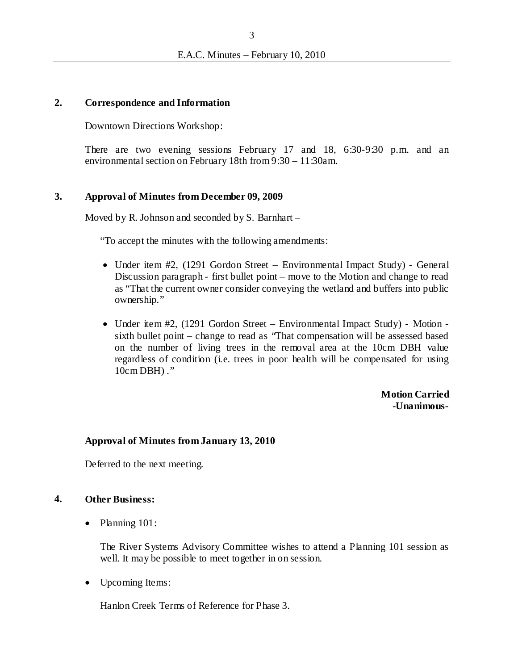#### **2. Correspondence and Information**

Downtown Directions Workshop:

There are two evening sessions February 17 and 18, 6:30-9:30 p.m. and an environmental section on February 18th from 9:30 – 11:30am.

#### **3. Approval of Minutes from December 09, 2009**

Moved by R. Johnson and seconded by S. Barnhart –

"To accept the minutes with the following amendments:

- Under item #2, (1291 Gordon Street Environmental Impact Study) General Discussion paragraph - first bullet point – move to the Motion and change to read as "That the current owner consider conveying the wetland and buffers into public ownership."
- Under item #2, (1291 Gordon Street Environmental Impact Study) Motion sixth bullet point – change to read as "That compensation will be assessed based on the number of living trees in the removal area at the 10cm DBH value regardless of condition (i.e. trees in poor health will be compensated for using  $10cm$  DBH $)$ ."

**Motion Carried -Unanimous-**

#### **Approval of Minutes from January 13, 2010**

Deferred to the next meeting.

#### **4. Other Business:**

• Planning 101:

The River Systems Advisory Committee wishes to attend a Planning 101 session as well. It may be possible to meet together in on session.

• Upcoming Items:

Hanlon Creek Terms of Reference for Phase 3.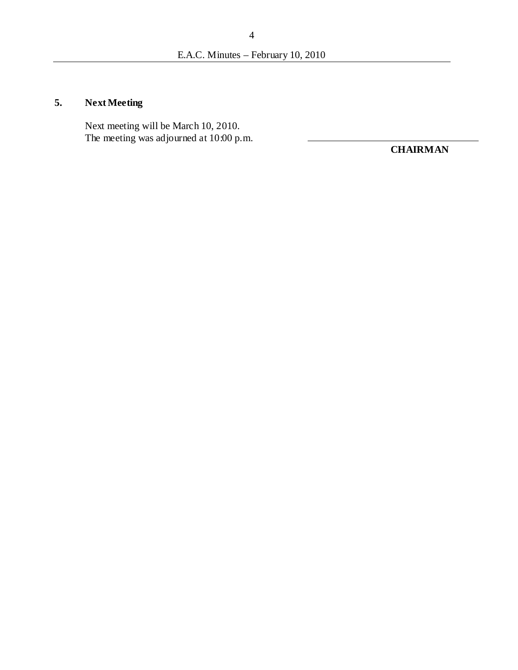# **5. Next Meeting**

Next meeting will be March 10, 2010. The meeting was adjourned at 10:00 p.m.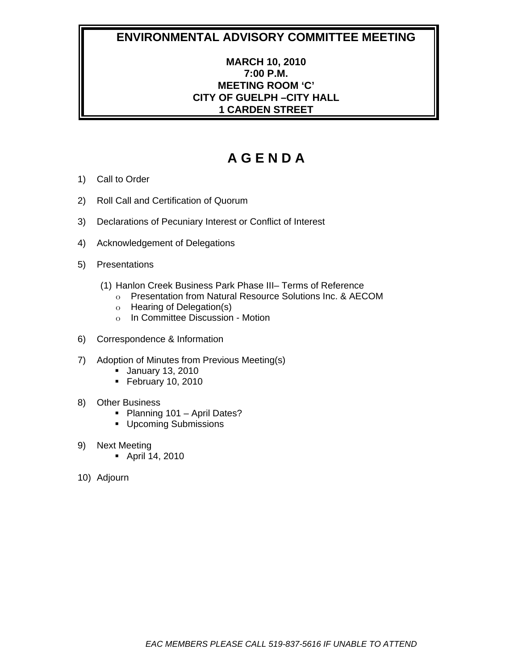## **MARCH 10, 2010 7:00 P.M. MEETING ROOM 'C' CITY OF GUELPH –CITY HALL 1 CARDEN STREET**

- 1) Call to Order
- 2) Roll Call and Certification of Quorum
- 3) Declarations of Pecuniary Interest or Conflict of Interest
- 4) Acknowledgement of Delegations
- 5) Presentations
	- (1) Hanlon Creek Business Park Phase III– Terms of Reference
		- o Presentation from Natural Resource Solutions Inc. & AECOM
		- o Hearing of Delegation(s)
		- o In Committee Discussion Motion
- 6) Correspondence & Information
- 7) Adoption of Minutes from Previous Meeting(s)
	- January 13, 2010
	- $\blacksquare$  February 10, 2010
- 8) Other Business
	- Planning 101 April Dates?
	- **Upcoming Submissions**
- 9) Next Meeting
	- April 14, 2010
- 10) Adjourn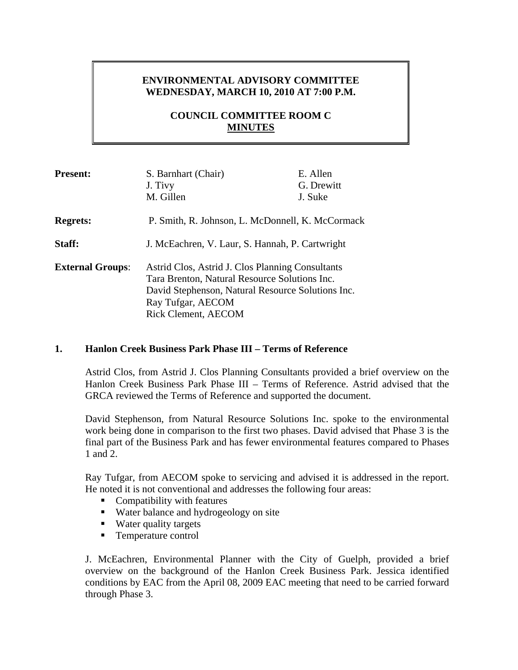## **ENVIRONMENTAL ADVISORY COMMITTEE WEDNESDAY, MARCH 10, 2010 AT 7:00 P.M.**

## **COUNCIL COMMITTEE ROOM C MINUTES**

| <b>Present:</b>         | S. Barnhart (Chair)                               | E. Allen   |
|-------------------------|---------------------------------------------------|------------|
|                         | J. Tivy                                           | G. Drewitt |
|                         | M. Gillen                                         | J. Suke    |
| <b>Regrets:</b>         | P. Smith, R. Johnson, L. McDonnell, K. McCormack  |            |
| Staff:                  | J. McEachren, V. Laur, S. Hannah, P. Cartwright   |            |
| <b>External Groups:</b> | Astrid Clos, Astrid J. Clos Planning Consultants  |            |
|                         | Tara Brenton, Natural Resource Solutions Inc.     |            |
|                         | David Stephenson, Natural Resource Solutions Inc. |            |
|                         | Ray Tufgar, AECOM                                 |            |
|                         | <b>Rick Clement, AECOM</b>                        |            |

#### **1. Hanlon Creek Business Park Phase III – Terms of Reference**

Astrid Clos, from Astrid J. Clos Planning Consultants provided a brief overview on the Hanlon Creek Business Park Phase III – Terms of Reference. Astrid advised that the GRCA reviewed the Terms of Reference and supported the document.

David Stephenson, from Natural Resource Solutions Inc. spoke to the environmental work being done in comparison to the first two phases. David advised that Phase 3 is the final part of the Business Park and has fewer environmental features compared to Phases 1 and 2.

Ray Tufgar, from AECOM spoke to servicing and advised it is addressed in the report. He noted it is not conventional and addresses the following four areas:

- **Compatibility with features**
- Water balance and hydrogeology on site
- Water quality targets
- Temperature control

J. McEachren, Environmental Planner with the City of Guelph, provided a brief overview on the background of the Hanlon Creek Business Park. Jessica identified conditions by EAC from the April 08, 2009 EAC meeting that need to be carried forward through Phase 3.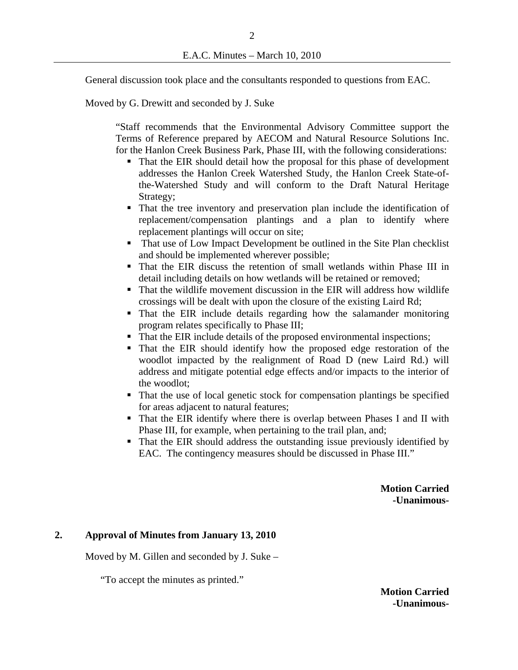General discussion took place and the consultants responded to questions from EAC.

Moved by G. Drewitt and seconded by J. Suke

"Staff recommends that the Environmental Advisory Committee support the Terms of Reference prepared by AECOM and Natural Resource Solutions Inc. for the Hanlon Creek Business Park, Phase III, with the following considerations:

- That the EIR should detail how the proposal for this phase of development addresses the Hanlon Creek Watershed Study, the Hanlon Creek State-ofthe-Watershed Study and will conform to the Draft Natural Heritage Strategy;
- That the tree inventory and preservation plan include the identification of replacement/compensation plantings and a plan to identify where replacement plantings will occur on site;
- That use of Low Impact Development be outlined in the Site Plan checklist and should be implemented wherever possible;
- That the EIR discuss the retention of small wetlands within Phase III in detail including details on how wetlands will be retained or removed;
- That the wildlife movement discussion in the EIR will address how wildlife crossings will be dealt with upon the closure of the existing Laird Rd;
- That the EIR include details regarding how the salamander monitoring program relates specifically to Phase III;
- That the EIR include details of the proposed environmental inspections;
- That the EIR should identify how the proposed edge restoration of the woodlot impacted by the realignment of Road D (new Laird Rd.) will address and mitigate potential edge effects and/or impacts to the interior of the woodlot;
- That the use of local genetic stock for compensation plantings be specified for areas adjacent to natural features;
- That the EIR identify where there is overlap between Phases I and II with Phase III, for example, when pertaining to the trail plan, and;
- That the EIR should address the outstanding issue previously identified by EAC. The contingency measures should be discussed in Phase III."

**Motion Carried -Unanimous-**

#### **2. Approval of Minutes from January 13, 2010**

Moved by M. Gillen and seconded by J. Suke –

"To accept the minutes as printed."

**Motion Carried -Unanimous-**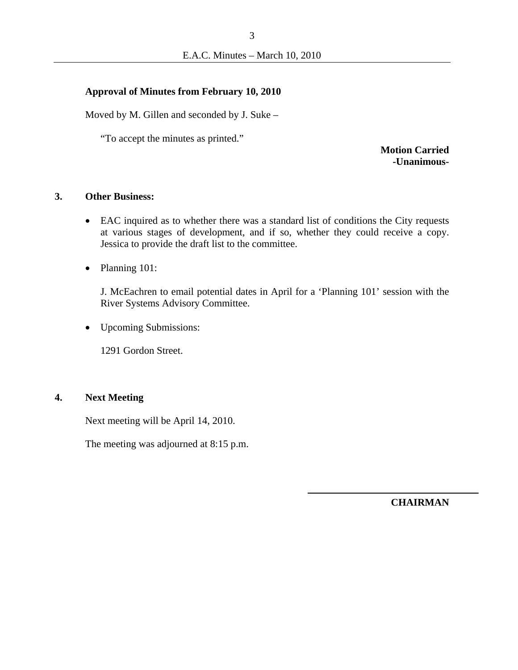#### **Approval of Minutes from February 10, 2010**

Moved by M. Gillen and seconded by J. Suke –

"To accept the minutes as printed."

**Motion Carried -Unanimous-**

#### **3. Other Business:**

- EAC inquired as to whether there was a standard list of conditions the City requests at various stages of development, and if so, whether they could receive a copy. Jessica to provide the draft list to the committee.
- Planning 101:

J. McEachren to email potential dates in April for a 'Planning 101' session with the River Systems Advisory Committee.

• Upcoming Submissions:

1291 Gordon Street.

#### **4. Next Meeting**

Next meeting will be April 14, 2010.

The meeting was adjourned at 8:15 p.m.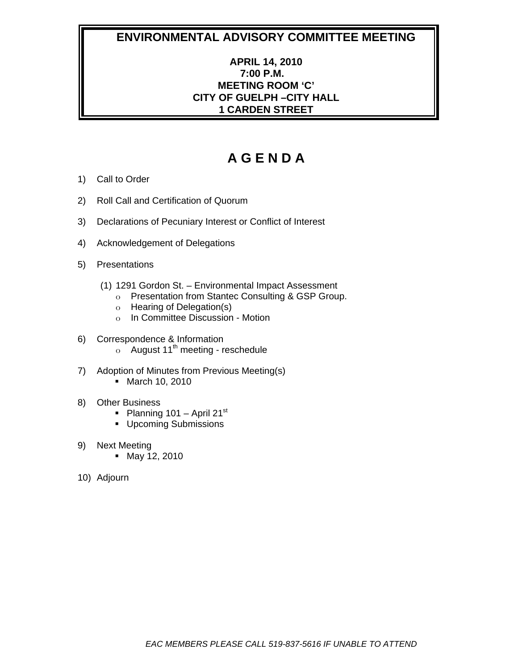## **APRIL 14, 2010 7:00 P.M. MEETING ROOM 'C' CITY OF GUELPH –CITY HALL 1 CARDEN STREET**

- 1) Call to Order
- 2) Roll Call and Certification of Quorum
- 3) Declarations of Pecuniary Interest or Conflict of Interest
- 4) Acknowledgement of Delegations
- 5) Presentations
	- (1) 1291 Gordon St. Environmental Impact Assessment
		- o Presentation from Stantec Consulting & GSP Group.
		- o Hearing of Delegation(s)
		- o In Committee Discussion Motion
- 6) Correspondence & Information  $\circ$  August 11<sup>th</sup> meeting - reschedule
- 7) Adoption of Minutes from Previous Meeting(s)
	- March 10, 2010
- 8) Other Business
	- Planning 101 April 21st
	- **Upcoming Submissions**
- 9) Next Meeting
	- May 12, 2010
- 10) Adjourn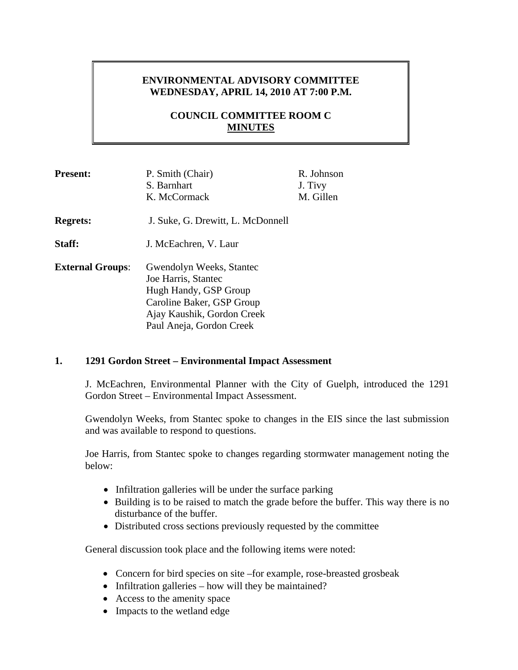## **ENVIRONMENTAL ADVISORY COMMITTEE WEDNESDAY, APRIL 14, 2010 AT 7:00 P.M.**

## **COUNCIL COMMITTEE ROOM C MINUTES**

| <b>Present:</b>         | P. Smith (Chair)<br>S. Barnhart<br>K. McCormack                                                                                                                 | R. Johnson<br>J. Tivy<br>M. Gillen |
|-------------------------|-----------------------------------------------------------------------------------------------------------------------------------------------------------------|------------------------------------|
| <b>Regrets:</b>         | J. Suke, G. Drewitt, L. McDonnell                                                                                                                               |                                    |
| Staff:                  | J. McEachren, V. Laur                                                                                                                                           |                                    |
| <b>External Groups:</b> | Gwendolyn Weeks, Stantec<br>Joe Harris, Stantec<br>Hugh Handy, GSP Group<br>Caroline Baker, GSP Group<br>Ajay Kaushik, Gordon Creek<br>Paul Aneja, Gordon Creek |                                    |

#### **1. 1291 Gordon Street – Environmental Impact Assessment**

J. McEachren, Environmental Planner with the City of Guelph, introduced the 1291 Gordon Street – Environmental Impact Assessment.

Gwendolyn Weeks, from Stantec spoke to changes in the EIS since the last submission and was available to respond to questions.

Joe Harris, from Stantec spoke to changes regarding stormwater management noting the below:

- Infiltration galleries will be under the surface parking
- Building is to be raised to match the grade before the buffer. This way there is no disturbance of the buffer.
- Distributed cross sections previously requested by the committee

General discussion took place and the following items were noted:

- Concern for bird species on site –for example, rose-breasted grosbeak
- Infiltration galleries how will they be maintained?
- Access to the amenity space
- Impacts to the wetland edge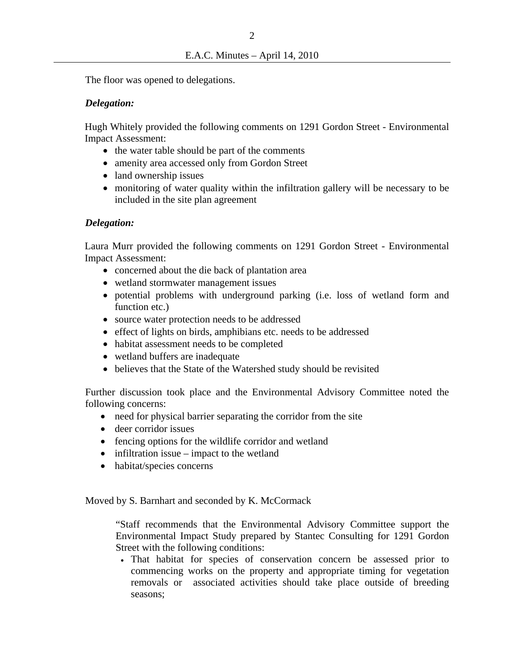The floor was opened to delegations.

### *Delegation:*

Hugh Whitely provided the following comments on 1291 Gordon Street - Environmental Impact Assessment:

- the water table should be part of the comments
- amenity area accessed only from Gordon Street
- land ownership issues
- monitoring of water quality within the infiltration gallery will be necessary to be included in the site plan agreement

## *Delegation:*

Laura Murr provided the following comments on 1291 Gordon Street - Environmental Impact Assessment:

- concerned about the die back of plantation area
- wetland stormwater management issues
- potential problems with underground parking (i.e. loss of wetland form and function etc.)
- source water protection needs to be addressed
- effect of lights on birds, amphibians etc. needs to be addressed
- habitat assessment needs to be completed
- wetland buffers are inadequate
- believes that the State of the Watershed study should be revisited

Further discussion took place and the Environmental Advisory Committee noted the following concerns:

- need for physical barrier separating the corridor from the site
- deer corridor issues
- fencing options for the wildlife corridor and wetland
- $\bullet$  infiltration issue impact to the wetland
- habitat/species concerns

Moved by S. Barnhart and seconded by K. McCormack

"Staff recommends that the Environmental Advisory Committee support the Environmental Impact Study prepared by Stantec Consulting for 1291 Gordon Street with the following conditions:

 That habitat for species of conservation concern be assessed prior to commencing works on the property and appropriate timing for vegetation removals or associated activities should take place outside of breeding seasons;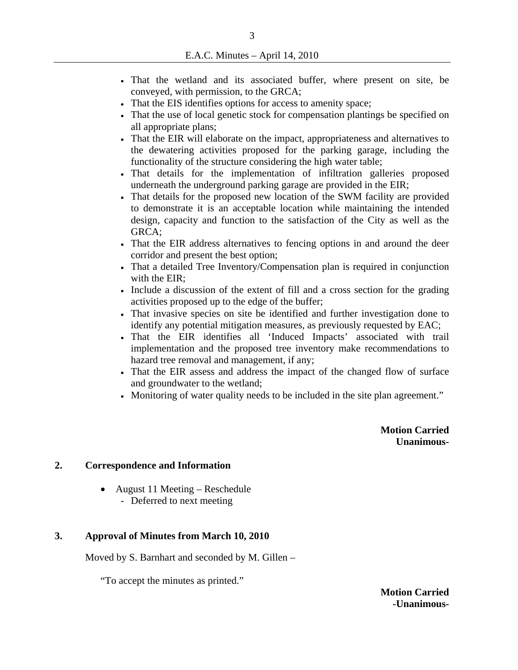- That the wetland and its associated buffer, where present on site, be conveyed, with permission, to the GRCA;
- That the EIS identifies options for access to amenity space;
- That the use of local genetic stock for compensation plantings be specified on all appropriate plans;
- That the EIR will elaborate on the impact, appropriateness and alternatives to the dewatering activities proposed for the parking garage, including the functionality of the structure considering the high water table;
- That details for the implementation of infiltration galleries proposed underneath the underground parking garage are provided in the EIR;
- That details for the proposed new location of the SWM facility are provided to demonstrate it is an acceptable location while maintaining the intended design, capacity and function to the satisfaction of the City as well as the GRCA;
- That the EIR address alternatives to fencing options in and around the deer corridor and present the best option;
- That a detailed Tree Inventory/Compensation plan is required in conjunction with the EIR;
- Include a discussion of the extent of fill and a cross section for the grading activities proposed up to the edge of the buffer;
- That invasive species on site be identified and further investigation done to identify any potential mitigation measures, as previously requested by EAC;
- That the EIR identifies all 'Induced Impacts' associated with trail implementation and the proposed tree inventory make recommendations to hazard tree removal and management, if any;
- That the EIR assess and address the impact of the changed flow of surface and groundwater to the wetland;
- Monitoring of water quality needs to be included in the site plan agreement."

**Motion Carried Unanimous-** 

#### **2. Correspondence and Information**

 August 11 Meeting – Reschedule - Deferred to next meeting

#### **3. Approval of Minutes from March 10, 2010**

Moved by S. Barnhart and seconded by M. Gillen –

"To accept the minutes as printed."

**Motion Carried -Unanimous-**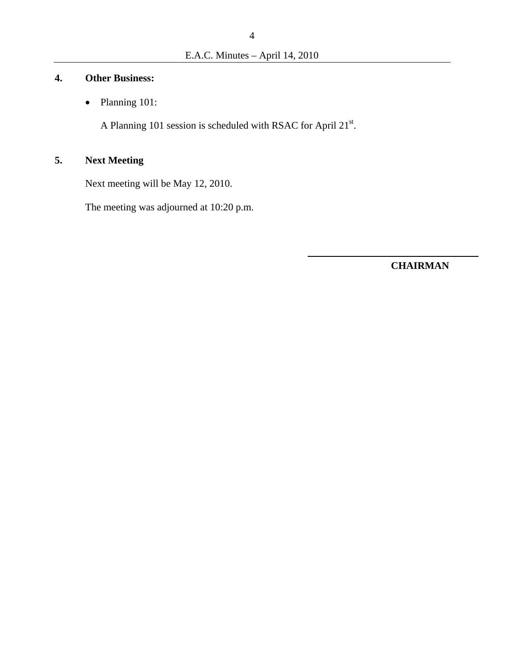## **4. Other Business:**

• Planning 101:

A Planning 101 session is scheduled with RSAC for April  $21^{st}$ .

# **5. Next Meeting**

Next meeting will be May 12, 2010.

The meeting was adjourned at 10:20 p.m.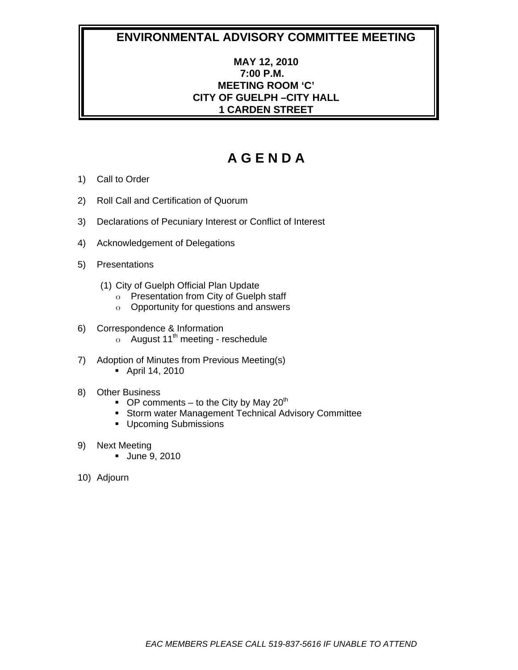## **MAY 12, 2010 7:00 P.M. MEETING ROOM 'C' CITY OF GUELPH –CITY HALL 1 CARDEN STREET**

- 1) Call to Order
- 2) Roll Call and Certification of Quorum
- 3) Declarations of Pecuniary Interest or Conflict of Interest
- 4) Acknowledgement of Delegations
- 5) Presentations
	- (1) City of Guelph Official Plan Update
		- o Presentation from City of Guelph staff
		- o Opportunity for questions and answers
- 6) Correspondence & Information  $\circ$  August 11<sup>th</sup> meeting - reschedule
- 7) Adoption of Minutes from Previous Meeting(s) April 14, 2010
- 8) Other Business
	- OP comments to the City by May  $20^{th}$
	- **Storm water Management Technical Advisory Committee**
	- **Upcoming Submissions**
- 9) Next Meeting
	- **June 9, 2010**
- 10) Adjourn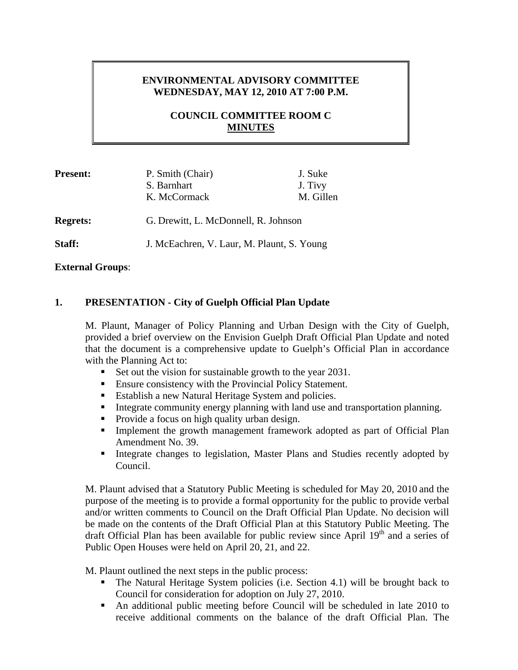## **ENVIRONMENTAL ADVISORY COMMITTEE WEDNESDAY, MAY 12, 2010 AT 7:00 P.M.**

## **COUNCIL COMMITTEE ROOM C MINUTES**

| <b>Present:</b> | P. Smith (Chair)                           | J. Suke   |
|-----------------|--------------------------------------------|-----------|
|                 | S. Barnhart                                | J. Tivy   |
|                 | K. McCormack                               | M. Gillen |
|                 |                                            |           |
| <b>Regrets:</b> | G. Drewitt, L. McDonnell, R. Johnson       |           |
|                 |                                            |           |
| Staff:          | J. McEachren, V. Laur, M. Plaunt, S. Young |           |

**External Groups**:

## **1. PRESENTATION - City of Guelph Official Plan Update**

M. Plaunt, Manager of Policy Planning and Urban Design with the City of Guelph, provided a brief overview on the Envision Guelph Draft Official Plan Update and noted that the document is a comprehensive update to Guelph's Official Plan in accordance with the Planning Act to:

- Set out the vision for sustainable growth to the year 2031.
- **Ensure consistency with the Provincial Policy Statement.**
- Establish a new Natural Heritage System and policies.
- **Integrate community energy planning with land use and transportation planning.**
- Provide a focus on high quality urban design.
- Implement the growth management framework adopted as part of Official Plan Amendment No. 39.
- Integrate changes to legislation, Master Plans and Studies recently adopted by Council.

M. Plaunt advised that a Statutory Public Meeting is scheduled for May 20, 2010 and the purpose of the meeting is to provide a formal opportunity for the public to provide verbal and/or written comments to Council on the Draft Official Plan Update. No decision will be made on the contents of the Draft Official Plan at this Statutory Public Meeting. The draft Official Plan has been available for public review since April  $19<sup>th</sup>$  and a series of Public Open Houses were held on April 20, 21, and 22.

M. Plaunt outlined the next steps in the public process:

- The Natural Heritage System policies (i.e. Section 4.1) will be brought back to Council for consideration for adoption on July 27, 2010.
- An additional public meeting before Council will be scheduled in late 2010 to receive additional comments on the balance of the draft Official Plan. The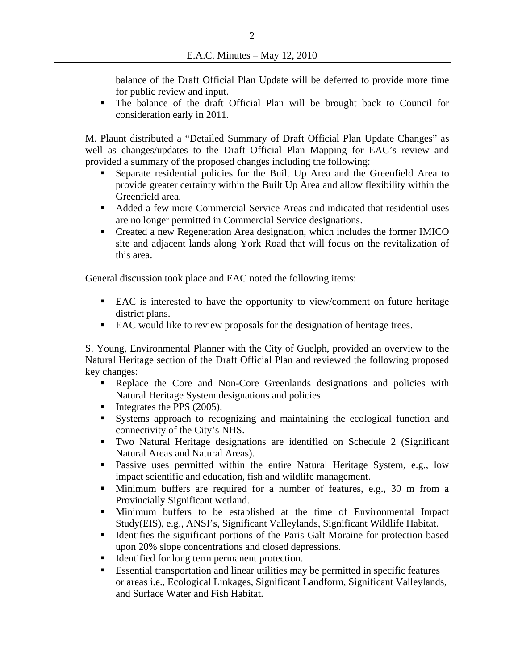balance of the Draft Official Plan Update will be deferred to provide more time for public review and input.

 The balance of the draft Official Plan will be brought back to Council for consideration early in 2011.

M. Plaunt distributed a "Detailed Summary of Draft Official Plan Update Changes" as well as changes/updates to the Draft Official Plan Mapping for EAC's review and provided a summary of the proposed changes including the following:

- Separate residential policies for the Built Up Area and the Greenfield Area to provide greater certainty within the Built Up Area and allow flexibility within the Greenfield area.
- Added a few more Commercial Service Areas and indicated that residential uses are no longer permitted in Commercial Service designations.
- Created a new Regeneration Area designation, which includes the former IMICO site and adjacent lands along York Road that will focus on the revitalization of this area.

General discussion took place and EAC noted the following items:

- EAC is interested to have the opportunity to view/comment on future heritage district plans.
- EAC would like to review proposals for the designation of heritage trees.

S. Young, Environmental Planner with the City of Guelph, provided an overview to the Natural Heritage section of the Draft Official Plan and reviewed the following proposed key changes:

- Replace the Core and Non-Core Greenlands designations and policies with Natural Heritage System designations and policies.
- $\blacksquare$  Integrates the PPS (2005).
- Systems approach to recognizing and maintaining the ecological function and connectivity of the City's NHS.
- Two Natural Heritage designations are identified on Schedule 2 (Significant Natural Areas and Natural Areas).
- **Passive uses permitted within the entire Natural Heritage System, e.g., low** impact scientific and education, fish and wildlife management.
- Minimum buffers are required for a number of features, e.g., 30 m from a Provincially Significant wetland.
- Minimum buffers to be established at the time of Environmental Impact Study(EIS), e.g., ANSI's, Significant Valleylands, Significant Wildlife Habitat.
- Identifies the significant portions of the Paris Galt Moraine for protection based upon 20% slope concentrations and closed depressions.
- Identified for long term permanent protection.
- Essential transportation and linear utilities may be permitted in specific features or areas i.e., Ecological Linkages, Significant Landform, Significant Valleylands, and Surface Water and Fish Habitat.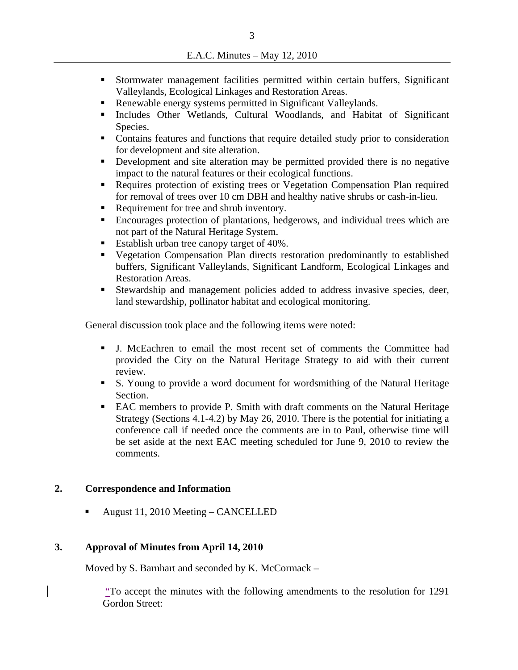- Stormwater management facilities permitted within certain buffers, Significant Valleylands, Ecological Linkages and Restoration Areas.
- Renewable energy systems permitted in Significant Valleylands.
- Includes Other Wetlands, Cultural Woodlands, and Habitat of Significant Species.
- Contains features and functions that require detailed study prior to consideration for development and site alteration.
- Development and site alteration may be permitted provided there is no negative impact to the natural features or their ecological functions.
- Requires protection of existing trees or Vegetation Compensation Plan required for removal of trees over 10 cm DBH and healthy native shrubs or cash-in-lieu.
- Requirement for tree and shrub inventory.
- Encourages protection of plantations, hedgerows, and individual trees which are not part of the Natural Heritage System.
- Establish urban tree canopy target of 40%.
- Vegetation Compensation Plan directs restoration predominantly to established buffers, Significant Valleylands, Significant Landform, Ecological Linkages and Restoration Areas.
- Stewardship and management policies added to address invasive species, deer, land stewardship, pollinator habitat and ecological monitoring.

General discussion took place and the following items were noted:

- J. McEachren to email the most recent set of comments the Committee had provided the City on the Natural Heritage Strategy to aid with their current review.
- S. Young to provide a word document for wordsmithing of the Natural Heritage Section.
- EAC members to provide P. Smith with draft comments on the Natural Heritage Strategy (Sections 4.1-4.2) by May 26, 2010. There is the potential for initiating a conference call if needed once the comments are in to Paul, otherwise time will be set aside at the next EAC meeting scheduled for June 9, 2010 to review the comments.

#### **2. Correspondence and Information**

August 11, 2010 Meeting – CANCELLED

#### **3. Approval of Minutes from April 14, 2010**

Moved by S. Barnhart and seconded by K. McCormack –

"To accept the minutes with the following amendments to the resolution for 1291 Gordon Street: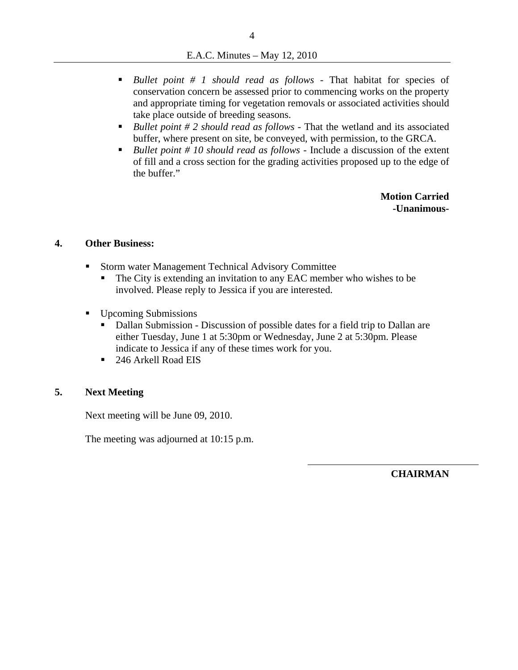- *Bullet point # 1 should read as follows* That habitat for species of conservation concern be assessed prior to commencing works on the property and appropriate timing for vegetation removals or associated activities should take place outside of breeding seasons.
- *Bullet point # 2 should read as follows* That the wetland and its associated buffer, where present on site, be conveyed, with permission, to the GRCA.
- *Bullet point # 10 should read as follows* Include a discussion of the extent of fill and a cross section for the grading activities proposed up to the edge of the buffer."

**Motion Carried -Unanimous-**

#### **4. Other Business:**

- **Storm water Management Technical Advisory Committee** 
	- The City is extending an invitation to any EAC member who wishes to be involved. Please reply to Jessica if you are interested.
- Upcoming Submissions
	- Dallan Submission Discussion of possible dates for a field trip to Dallan are either Tuesday, June 1 at 5:30pm or Wednesday, June 2 at 5:30pm. Please indicate to Jessica if any of these times work for you.
	- 246 Arkell Road EIS

#### **5. Next Meeting**

Next meeting will be June 09, 2010.

The meeting was adjourned at 10:15 p.m.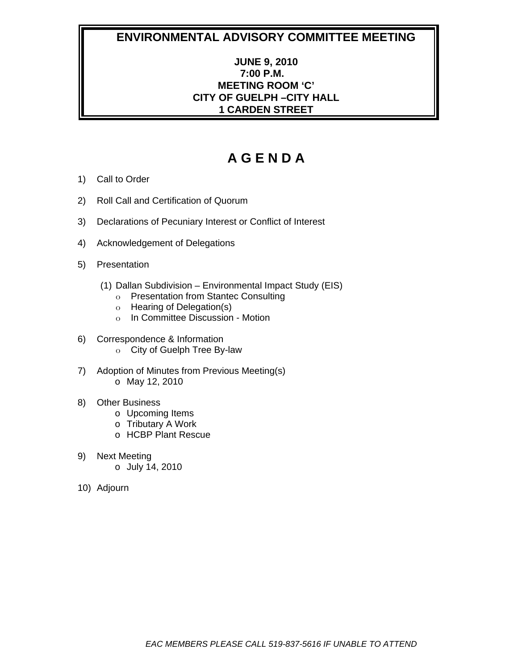## **JUNE 9, 2010 7:00 P.M. MEETING ROOM 'C' CITY OF GUELPH –CITY HALL 1 CARDEN STREET**

- 1) Call to Order
- 2) Roll Call and Certification of Quorum
- 3) Declarations of Pecuniary Interest or Conflict of Interest
- 4) Acknowledgement of Delegations
- 5) Presentation
	- (1) Dallan Subdivision Environmental Impact Study (EIS)
		- o Presentation from Stantec Consulting
		- o Hearing of Delegation(s)
		- o In Committee Discussion Motion
- 6) Correspondence & Information
	- o City of Guelph Tree By-law
- 7) Adoption of Minutes from Previous Meeting(s) o May 12, 2010
- 8) Other Business
	- o Upcoming Items
	- o Tributary A Work
	- o HCBP Plant Rescue
- 9) Next Meeting
	- o July 14, 2010
- 10) Adjourn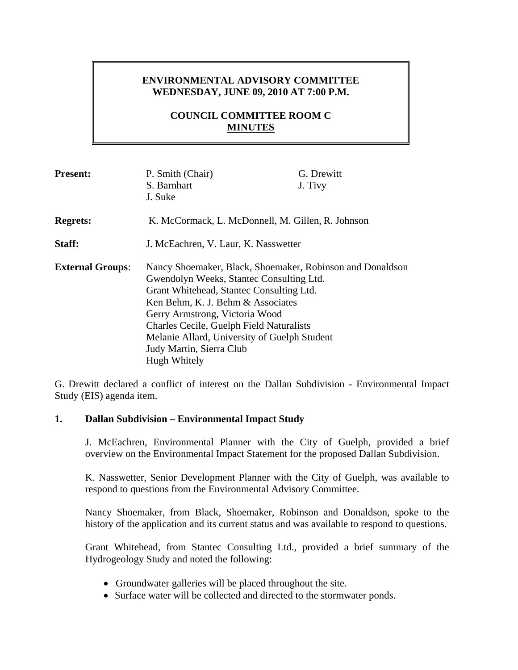## **ENVIRONMENTAL ADVISORY COMMITTEE WEDNESDAY, JUNE 09, 2010 AT 7:00 P.M.**

## **COUNCIL COMMITTEE ROOM C MINUTES**

| <b>Present:</b>         | P. Smith (Chair)<br>S. Barnhart<br>J. Suke                                                                                                                                                                                                                                                                                                                       | G. Drewitt<br>J. Tivy |
|-------------------------|------------------------------------------------------------------------------------------------------------------------------------------------------------------------------------------------------------------------------------------------------------------------------------------------------------------------------------------------------------------|-----------------------|
| <b>Regrets:</b>         | K. McCormack, L. McDonnell, M. Gillen, R. Johnson                                                                                                                                                                                                                                                                                                                |                       |
| Staff:                  | J. McEachren, V. Laur, K. Nasswetter                                                                                                                                                                                                                                                                                                                             |                       |
| <b>External Groups:</b> | Nancy Shoemaker, Black, Shoemaker, Robinson and Donaldson<br>Gwendolyn Weeks, Stantec Consulting Ltd.<br>Grant Whitehead, Stantec Consulting Ltd.<br>Ken Behm, K. J. Behm & Associates<br>Gerry Armstrong, Victoria Wood<br>Charles Cecile, Guelph Field Naturalists<br>Melanie Allard, University of Guelph Student<br>Judy Martin, Sierra Club<br>Hugh Whitely |                       |

G. Drewitt declared a conflict of interest on the Dallan Subdivision - Environmental Impact Study (EIS) agenda item.

#### **1. Dallan Subdivision – Environmental Impact Study**

J. McEachren, Environmental Planner with the City of Guelph, provided a brief overview on the Environmental Impact Statement for the proposed Dallan Subdivision.

K. Nasswetter, Senior Development Planner with the City of Guelph, was available to respond to questions from the Environmental Advisory Committee.

Nancy Shoemaker, from Black, Shoemaker, Robinson and Donaldson, spoke to the history of the application and its current status and was available to respond to questions.

Grant Whitehead, from Stantec Consulting Ltd., provided a brief summary of the Hydrogeology Study and noted the following:

- Groundwater galleries will be placed throughout the site.
- Surface water will be collected and directed to the stormwater ponds.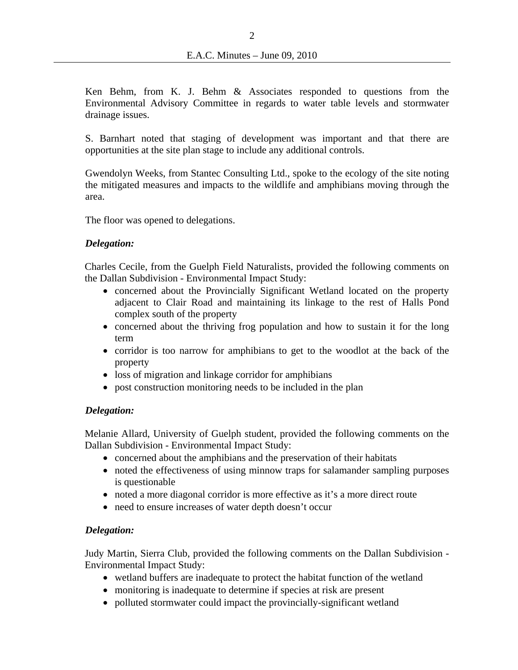Ken Behm, from K. J. Behm & Associates responded to questions from the Environmental Advisory Committee in regards to water table levels and stormwater drainage issues.

S. Barnhart noted that staging of development was important and that there are opportunities at the site plan stage to include any additional controls.

Gwendolyn Weeks, from Stantec Consulting Ltd., spoke to the ecology of the site noting the mitigated measures and impacts to the wildlife and amphibians moving through the area.

The floor was opened to delegations.

#### *Delegation:*

Charles Cecile, from the Guelph Field Naturalists, provided the following comments on the Dallan Subdivision - Environmental Impact Study:

- concerned about the Provincially Significant Wetland located on the property adjacent to Clair Road and maintaining its linkage to the rest of Halls Pond complex south of the property
- concerned about the thriving frog population and how to sustain it for the long term
- corridor is too narrow for amphibians to get to the woodlot at the back of the property
- loss of migration and linkage corridor for amphibians
- post construction monitoring needs to be included in the plan

#### *Delegation:*

Melanie Allard, University of Guelph student, provided the following comments on the Dallan Subdivision - Environmental Impact Study:

- concerned about the amphibians and the preservation of their habitats
- noted the effectiveness of using minnow traps for salamander sampling purposes is questionable
- noted a more diagonal corridor is more effective as it's a more direct route
- need to ensure increases of water depth doesn't occur

#### *Delegation:*

Judy Martin, Sierra Club, provided the following comments on the Dallan Subdivision - Environmental Impact Study:

- wetland buffers are inadequate to protect the habitat function of the wetland
- monitoring is inadequate to determine if species at risk are present
- polluted stormwater could impact the provincially-significant wetland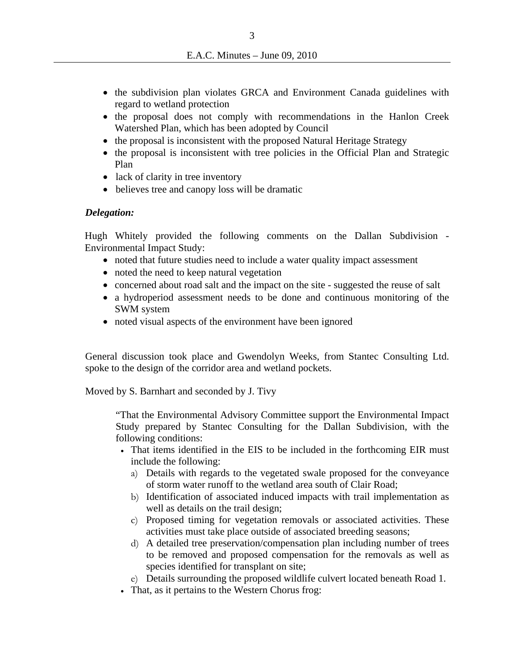- the subdivision plan violates GRCA and Environment Canada guidelines with regard to wetland protection
- the proposal does not comply with recommendations in the Hanlon Creek Watershed Plan, which has been adopted by Council
- the proposal is inconsistent with the proposed Natural Heritage Strategy
- the proposal is inconsistent with tree policies in the Official Plan and Strategic Plan
- lack of clarity in tree inventory
- believes tree and canopy loss will be dramatic

#### *Delegation:*

Hugh Whitely provided the following comments on the Dallan Subdivision - Environmental Impact Study:

- noted that future studies need to include a water quality impact assessment
- noted the need to keep natural vegetation
- concerned about road salt and the impact on the site suggested the reuse of salt
- a hydroperiod assessment needs to be done and continuous monitoring of the SWM system
- noted visual aspects of the environment have been ignored

General discussion took place and Gwendolyn Weeks, from Stantec Consulting Ltd. spoke to the design of the corridor area and wetland pockets.

Moved by S. Barnhart and seconded by J. Tivy

"That the Environmental Advisory Committee support the Environmental Impact Study prepared by Stantec Consulting for the Dallan Subdivision, with the following conditions:

- That items identified in the EIS to be included in the forthcoming EIR must include the following:
	- a) Details with regards to the vegetated swale proposed for the conveyance of storm water runoff to the wetland area south of Clair Road;
	- b) Identification of associated induced impacts with trail implementation as well as details on the trail design;
	- c) Proposed timing for vegetation removals or associated activities. These activities must take place outside of associated breeding seasons;
	- d) A detailed tree preservation/compensation plan including number of trees to be removed and proposed compensation for the removals as well as species identified for transplant on site;
	- e) Details surrounding the proposed wildlife culvert located beneath Road 1.
- That, as it pertains to the Western Chorus frog: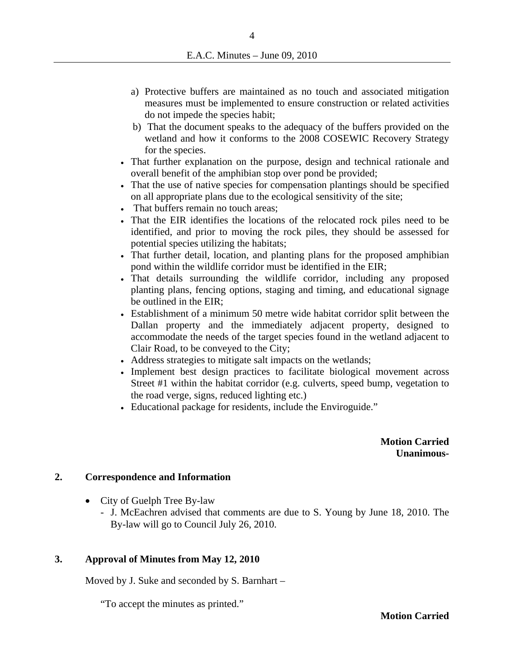- a) Protective buffers are maintained as no touch and associated mitigation measures must be implemented to ensure construction or related activities do not impede the species habit;
- b) That the document speaks to the adequacy of the buffers provided on the wetland and how it conforms to the 2008 COSEWIC Recovery Strategy for the species.
- That further explanation on the purpose, design and technical rationale and overall benefit of the amphibian stop over pond be provided;
- That the use of native species for compensation plantings should be specified on all appropriate plans due to the ecological sensitivity of the site;
- That buffers remain no touch areas;
- That the EIR identifies the locations of the relocated rock piles need to be identified, and prior to moving the rock piles, they should be assessed for potential species utilizing the habitats;
- That further detail, location, and planting plans for the proposed amphibian pond within the wildlife corridor must be identified in the EIR;
- That details surrounding the wildlife corridor, including any proposed planting plans, fencing options, staging and timing, and educational signage be outlined in the EIR;
- Establishment of a minimum 50 metre wide habitat corridor split between the Dallan property and the immediately adjacent property, designed to accommodate the needs of the target species found in the wetland adjacent to Clair Road, to be conveyed to the City;
- Address strategies to mitigate salt impacts on the wetlands;
- Implement best design practices to facilitate biological movement across Street #1 within the habitat corridor (e.g. culverts, speed bump, vegetation to the road verge, signs, reduced lighting etc.)
- Educational package for residents, include the Enviroguide."

**Motion Carried Unanimous-** 

#### **2. Correspondence and Information**

- City of Guelph Tree By-law
	- J. McEachren advised that comments are due to S. Young by June 18, 2010. The By-law will go to Council July 26, 2010.

#### **3. Approval of Minutes from May 12, 2010**

Moved by J. Suke and seconded by S. Barnhart –

"To accept the minutes as printed."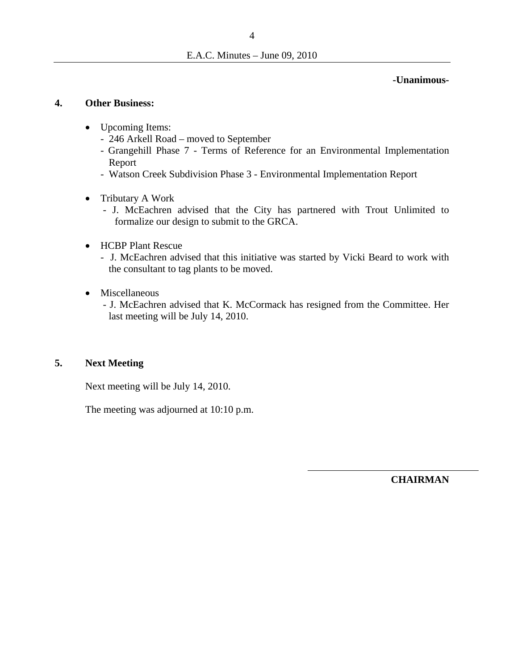**-Unanimous-**

#### **4. Other Business:**

- Upcoming Items:
	- 246 Arkell Road moved to September
	- Grangehill Phase 7 Terms of Reference for an Environmental Implementation Report
	- Watson Creek Subdivision Phase 3 Environmental Implementation Report
- Tributary A Work
	- J. McEachren advised that the City has partnered with Trout Unlimited to formalize our design to submit to the GRCA.
- HCBP Plant Rescue
	- J. McEachren advised that this initiative was started by Vicki Beard to work with the consultant to tag plants to be moved.
- Miscellaneous
	- J. McEachren advised that K. McCormack has resigned from the Committee. Her last meeting will be July 14, 2010.

#### **5. Next Meeting**

Next meeting will be July 14, 2010.

The meeting was adjourned at 10:10 p.m.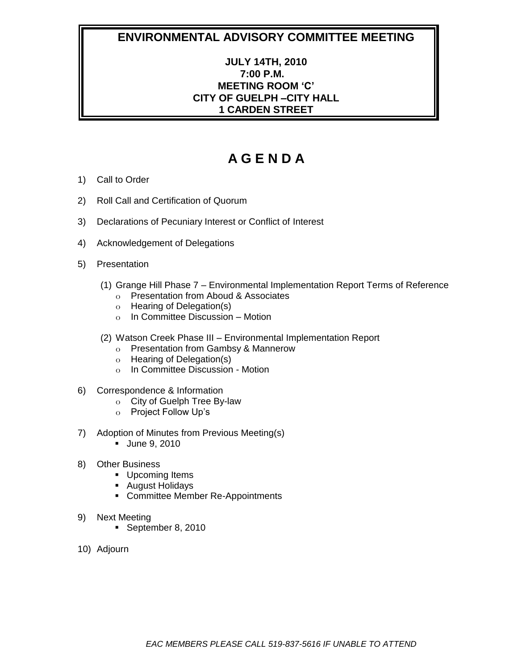## **JULY 14TH, 2010 7:00 P.M. MEETING ROOM 'C' CITY OF GUELPH –CITY HALL 1 CARDEN STREET**

- 1) Call to Order
- 2) Roll Call and Certification of Quorum
- 3) Declarations of Pecuniary Interest or Conflict of Interest
- 4) Acknowledgement of Delegations
- 5) Presentation
	- (1) Grange Hill Phase 7 Environmental Implementation Report Terms of Reference
		- o Presentation from Aboud & Associates
		- o Hearing of Delegation(s)
		- $\circ$  In Committee Discussion Motion
	- (2) Watson Creek Phase III Environmental Implementation Report
		- o Presentation from Gambsy & Mannerow
		- o Hearing of Delegation(s)
		- o In Committee Discussion Motion
- 6) Correspondence & Information
	- o City of Guelph Tree By-law
	- o Project Follow Up's
- 7) Adoption of Minutes from Previous Meeting(s)
	- **June 9, 2010**
- 8) Other Business
	- **Upcoming Items**
	- August Holidays
	- **-** Committee Member Re-Appointments
- 9) Next Meeting
	- September 8, 2010
- 10) Adjourn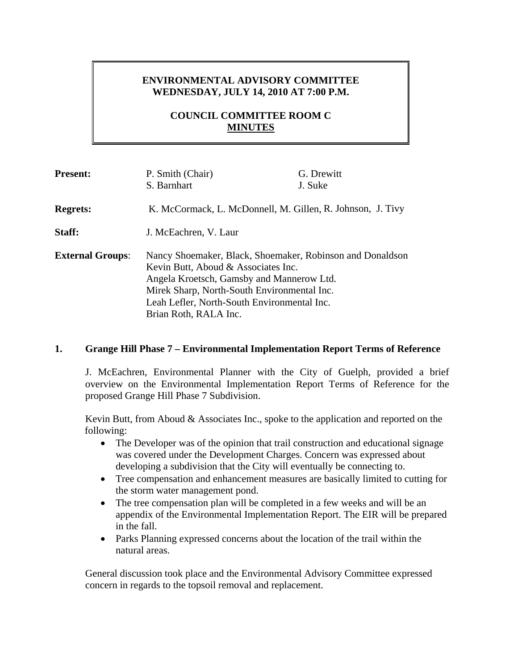## **ENVIRONMENTAL ADVISORY COMMITTEE WEDNESDAY, JULY 14, 2010 AT 7:00 P.M.**

## **COUNCIL COMMITTEE ROOM C MINUTES**

| <b>Present:</b>         | P. Smith (Chair)                                                                                                                                                                                                                                                     | G. Drewitt |
|-------------------------|----------------------------------------------------------------------------------------------------------------------------------------------------------------------------------------------------------------------------------------------------------------------|------------|
|                         | S. Barnhart                                                                                                                                                                                                                                                          | J. Suke    |
| <b>Regrets:</b>         | K. McCormack, L. McDonnell, M. Gillen, R. Johnson, J. Tivy                                                                                                                                                                                                           |            |
| Staff:                  | J. McEachren, V. Laur                                                                                                                                                                                                                                                |            |
| <b>External Groups:</b> | Nancy Shoemaker, Black, Shoemaker, Robinson and Donaldson<br>Kevin Butt, Aboud & Associates Inc.<br>Angela Kroetsch, Gamsby and Mannerow Ltd.<br>Mirek Sharp, North-South Environmental Inc.<br>Leah Lefler, North-South Environmental Inc.<br>Brian Roth, RALA Inc. |            |

#### **1. Grange Hill Phase 7 – Environmental Implementation Report Terms of Reference**

J. McEachren, Environmental Planner with the City of Guelph, provided a brief overview on the Environmental Implementation Report Terms of Reference for the proposed Grange Hill Phase 7 Subdivision.

Kevin Butt, from Aboud & Associates Inc., spoke to the application and reported on the following:

- The Developer was of the opinion that trail construction and educational signage was covered under the Development Charges. Concern was expressed about developing a subdivision that the City will eventually be connecting to.
- Tree compensation and enhancement measures are basically limited to cutting for the storm water management pond.
- The tree compensation plan will be completed in a few weeks and will be an appendix of the Environmental Implementation Report. The EIR will be prepared in the fall.
- Parks Planning expressed concerns about the location of the trail within the natural areas.

General discussion took place and the Environmental Advisory Committee expressed concern in regards to the topsoil removal and replacement.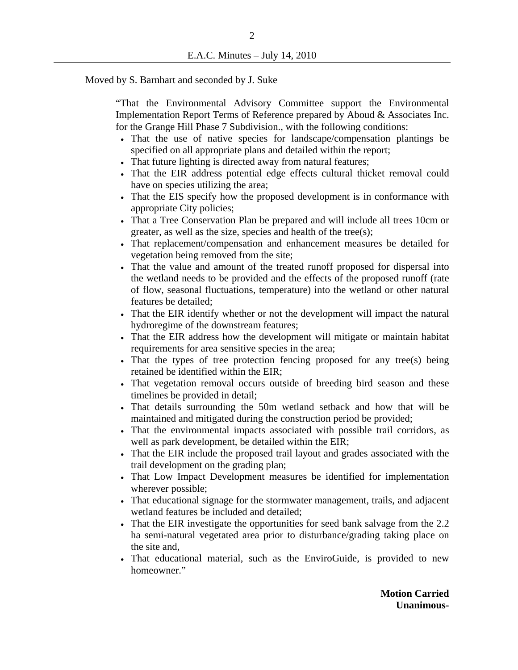#### Moved by S. Barnhart and seconded by J. Suke

"That the Environmental Advisory Committee support the Environmental Implementation Report Terms of Reference prepared by Aboud & Associates Inc. for the Grange Hill Phase 7 Subdivision., with the following conditions:

- That the use of native species for landscape/compensation plantings be specified on all appropriate plans and detailed within the report;
- That future lighting is directed away from natural features;
- That the EIR address potential edge effects cultural thicket removal could have on species utilizing the area;
- That the EIS specify how the proposed development is in conformance with appropriate City policies;
- That a Tree Conservation Plan be prepared and will include all trees 10cm or greater, as well as the size, species and health of the tree(s);
- That replacement/compensation and enhancement measures be detailed for vegetation being removed from the site;
- That the value and amount of the treated runoff proposed for dispersal into the wetland needs to be provided and the effects of the proposed runoff (rate of flow, seasonal fluctuations, temperature) into the wetland or other natural features be detailed;
- That the EIR identify whether or not the development will impact the natural hydroregime of the downstream features;
- That the EIR address how the development will mitigate or maintain habitat requirements for area sensitive species in the area;
- That the types of tree protection fencing proposed for any tree(s) being retained be identified within the EIR;
- That vegetation removal occurs outside of breeding bird season and these timelines be provided in detail;
- That details surrounding the 50m wetland setback and how that will be maintained and mitigated during the construction period be provided;
- That the environmental impacts associated with possible trail corridors, as well as park development, be detailed within the EIR;
- That the EIR include the proposed trail layout and grades associated with the trail development on the grading plan;
- That Low Impact Development measures be identified for implementation wherever possible;
- That educational signage for the stormwater management, trails, and adjacent wetland features be included and detailed;
- That the EIR investigate the opportunities for seed bank salvage from the 2.2 ha semi-natural vegetated area prior to disturbance/grading taking place on the site and,
- That educational material, such as the EnviroGuide, is provided to new homeowner."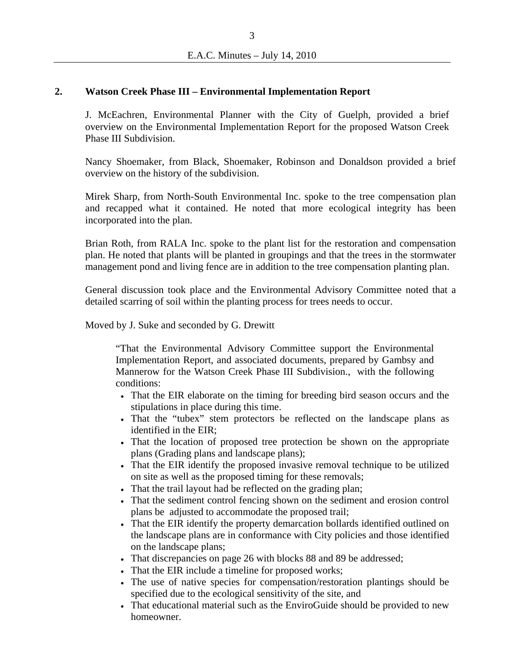#### **2. Watson Creek Phase III – Environmental Implementation Report**

J. McEachren, Environmental Planner with the City of Guelph, provided a brief overview on the Environmental Implementation Report for the proposed Watson Creek Phase III Subdivision.

Nancy Shoemaker, from Black, Shoemaker, Robinson and Donaldson provided a brief overview on the history of the subdivision.

Mirek Sharp, from North-South Environmental Inc. spoke to the tree compensation plan and recapped what it contained. He noted that more ecological integrity has been incorporated into the plan.

Brian Roth, from RALA Inc. spoke to the plant list for the restoration and compensation plan. He noted that plants will be planted in groupings and that the trees in the stormwater management pond and living fence are in addition to the tree compensation planting plan.

General discussion took place and the Environmental Advisory Committee noted that a detailed scarring of soil within the planting process for trees needs to occur.

Moved by J. Suke and seconded by G. Drewitt

"That the Environmental Advisory Committee support the Environmental Implementation Report, and associated documents, prepared by Gambsy and Mannerow for the Watson Creek Phase III Subdivision., with the following conditions:

- That the EIR elaborate on the timing for breeding bird season occurs and the stipulations in place during this time.
- That the "tubex" stem protectors be reflected on the landscape plans as identified in the EIR;
- That the location of proposed tree protection be shown on the appropriate plans (Grading plans and landscape plans);
- That the EIR identify the proposed invasive removal technique to be utilized on site as well as the proposed timing for these removals;
- That the trail layout had be reflected on the grading plan;
- That the sediment control fencing shown on the sediment and erosion control plans be adjusted to accommodate the proposed trail;
- That the EIR identify the property demarcation bollards identified outlined on the landscape plans are in conformance with City policies and those identified on the landscape plans;
- That discrepancies on page 26 with blocks 88 and 89 be addressed;
- That the EIR include a timeline for proposed works;
- The use of native species for compensation/restoration plantings should be specified due to the ecological sensitivity of the site, and
- That educational material such as the EnviroGuide should be provided to new homeowner.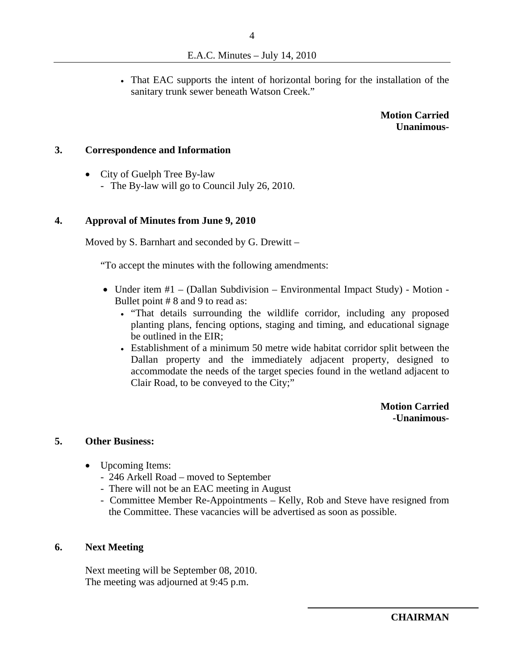That EAC supports the intent of horizontal boring for the installation of the sanitary trunk sewer beneath Watson Creek."

> **Motion Carried Unanimous-**

#### **3. Correspondence and Information**

• City of Guelph Tree By-law

- The By-law will go to Council July 26, 2010.

#### **4. Approval of Minutes from June 9, 2010**

Moved by S. Barnhart and seconded by G. Drewitt –

"To accept the minutes with the following amendments:

- Under item #1 (Dallan Subdivision Environmental Impact Study) Motion -Bullet point # 8 and 9 to read as:
	- . "That details surrounding the wildlife corridor, including any proposed planting plans, fencing options, staging and timing, and educational signage be outlined in the EIR;
	- Establishment of a minimum 50 metre wide habitat corridor split between the Dallan property and the immediately adjacent property, designed to accommodate the needs of the target species found in the wetland adjacent to Clair Road, to be conveyed to the City;"

**Motion Carried -Unanimous-**

#### **5. Other Business:**

- Upcoming Items:
	- 246 Arkell Road moved to September
	- There will not be an EAC meeting in August
	- Committee Member Re-Appointments Kelly, Rob and Steve have resigned from the Committee. These vacancies will be advertised as soon as possible.

#### **6. Next Meeting**

Next meeting will be September 08, 2010. The meeting was adjourned at 9:45 p.m.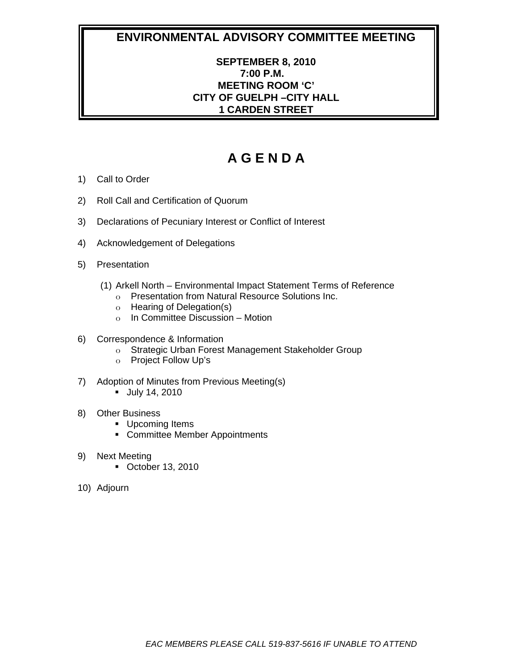## **SEPTEMBER 8, 2010 7:00 P.M. MEETING ROOM 'C' CITY OF GUELPH –CITY HALL 1 CARDEN STREET**

- 1) Call to Order
- 2) Roll Call and Certification of Quorum
- 3) Declarations of Pecuniary Interest or Conflict of Interest
- 4) Acknowledgement of Delegations
- 5) Presentation
	- (1) Arkell North Environmental Impact Statement Terms of Reference
		- o Presentation from Natural Resource Solutions Inc.
		- o Hearing of Delegation(s)
		- o In Committee Discussion Motion
- 6) Correspondence & Information
	- o Strategic Urban Forest Management Stakeholder Group
	- o Project Follow Up's
- 7) Adoption of Minutes from Previous Meeting(s)
	- July 14, 2010
- 8) Other Business
	- **Upcoming Items**
	- Committee Member Appointments
- 9) Next Meeting
	- October 13, 2010
- 10) Adjourn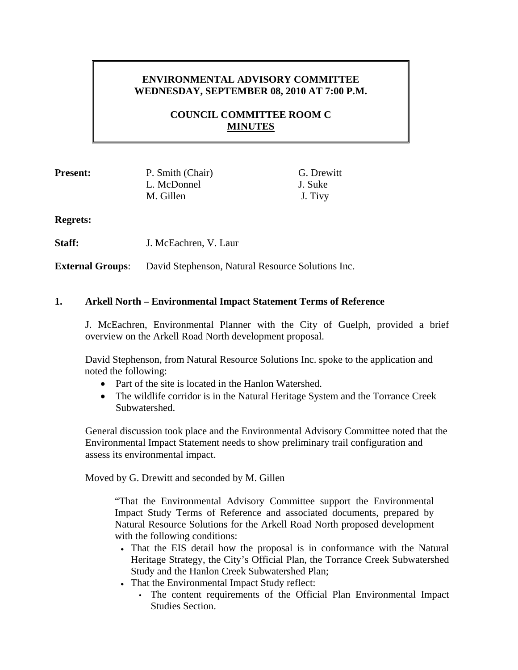## **ENVIRONMENTAL ADVISORY COMMITTEE WEDNESDAY, SEPTEMBER 08, 2010 AT 7:00 P.M.**

## **COUNCIL COMMITTEE ROOM C MINUTES**

L. McDonnel J. Suke M. Gillen J. Tivy

**Present:** P. Smith (Chair) G. Drewitt

**Regrets:**

**Staff:** J. McEachren, V. Laur

**External Groups**: David Stephenson, Natural Resource Solutions Inc.

## **1. Arkell North – Environmental Impact Statement Terms of Reference**

J. McEachren, Environmental Planner with the City of Guelph, provided a brief overview on the Arkell Road North development proposal.

David Stephenson, from Natural Resource Solutions Inc. spoke to the application and noted the following:

- Part of the site is located in the Hanlon Watershed.
- The wildlife corridor is in the Natural Heritage System and the Torrance Creek Subwatershed.

General discussion took place and the Environmental Advisory Committee noted that the Environmental Impact Statement needs to show preliminary trail configuration and assess its environmental impact.

Moved by G. Drewitt and seconded by M. Gillen

"That the Environmental Advisory Committee support the Environmental Impact Study Terms of Reference and associated documents, prepared by Natural Resource Solutions for the Arkell Road North proposed development with the following conditions:

- That the EIS detail how the proposal is in conformance with the Natural Heritage Strategy, the City's Official Plan, the Torrance Creek Subwatershed Study and the Hanlon Creek Subwatershed Plan;
- That the Environmental Impact Study reflect:
	- The content requirements of the Official Plan Environmental Impact Studies Section.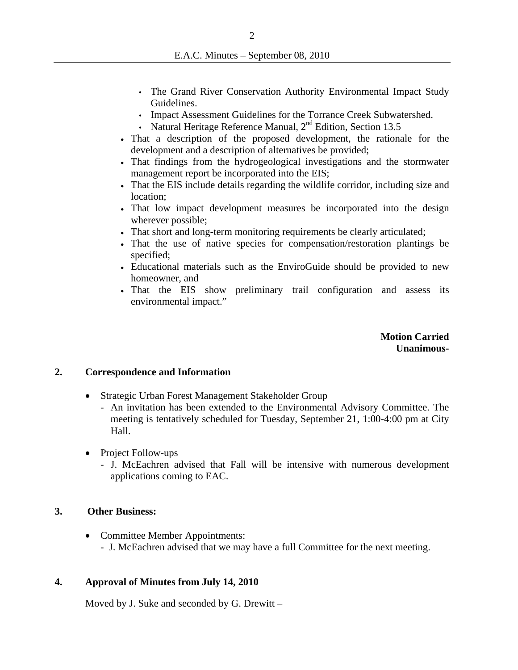- The Grand River Conservation Authority Environmental Impact Study Guidelines.
- Impact Assessment Guidelines for the Torrance Creek Subwatershed.
- Natural Heritage Reference Manual,  $2<sup>nd</sup>$  Edition, Section 13.5
- That a description of the proposed development, the rationale for the development and a description of alternatives be provided;
- That findings from the hydrogeological investigations and the stormwater management report be incorporated into the EIS;
- That the EIS include details regarding the wildlife corridor, including size and location;
- That low impact development measures be incorporated into the design wherever possible;
- That short and long-term monitoring requirements be clearly articulated;
- That the use of native species for compensation/restoration plantings be specified;
- Educational materials such as the EnviroGuide should be provided to new homeowner, and
- That the EIS show preliminary trail configuration and assess its environmental impact."

**Motion Carried Unanimous-**

#### **2. Correspondence and Information**

- Strategic Urban Forest Management Stakeholder Group
	- An invitation has been extended to the Environmental Advisory Committee. The meeting is tentatively scheduled for Tuesday, September 21, 1:00-4:00 pm at City Hall.
- Project Follow-ups
	- J. McEachren advised that Fall will be intensive with numerous development applications coming to EAC.

#### **3. Other Business:**

• Committee Member Appointments: - J. McEachren advised that we may have a full Committee for the next meeting.

#### **4. Approval of Minutes from July 14, 2010**

Moved by J. Suke and seconded by G. Drewitt –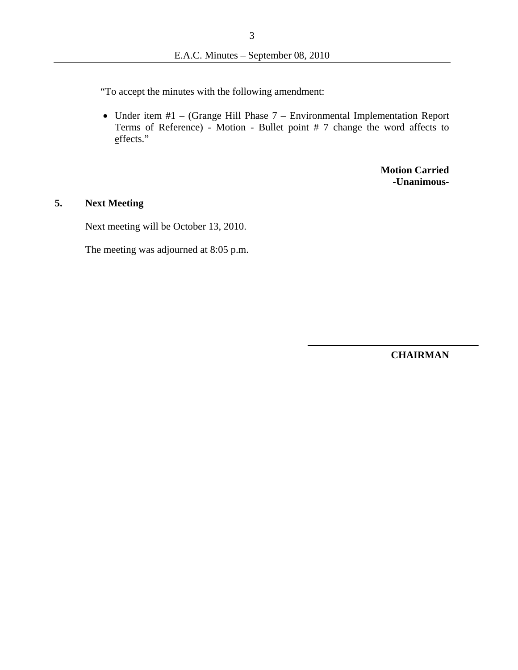"To accept the minutes with the following amendment:

• Under item #1 – (Grange Hill Phase 7 – Environmental Implementation Report Terms of Reference) - Motion - Bullet point # 7 change the word affects to effects."

> **Motion Carried -Unanimous-**

## **5. Next Meeting**

Next meeting will be October 13, 2010.

The meeting was adjourned at 8:05 p.m.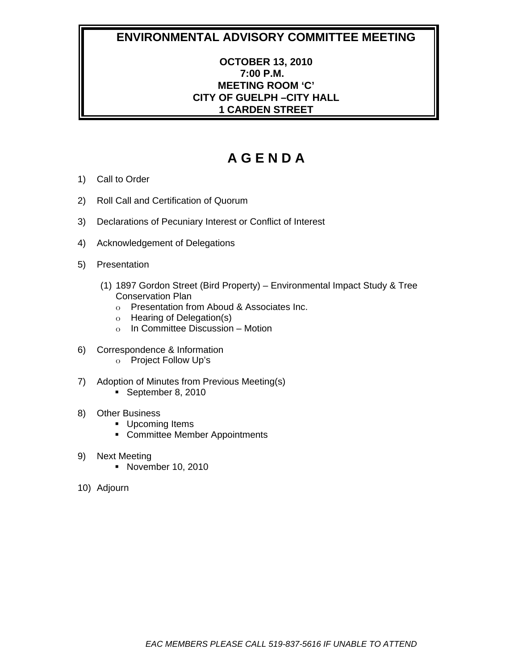## **OCTOBER 13, 2010 7:00 P.M. MEETING ROOM 'C' CITY OF GUELPH –CITY HALL 1 CARDEN STREET**

- 1) Call to Order
- 2) Roll Call and Certification of Quorum
- 3) Declarations of Pecuniary Interest or Conflict of Interest
- 4) Acknowledgement of Delegations
- 5) Presentation
	- (1) 1897 Gordon Street (Bird Property) Environmental Impact Study & Tree Conservation Plan
		- o Presentation from Aboud & Associates Inc.
		- o Hearing of Delegation(s)
		- o In Committee Discussion Motion
- 6) Correspondence & Information
	- o Project Follow Up's
- 7) Adoption of Minutes from Previous Meeting(s) September 8, 2010
- 8) Other Business
	- **Upcoming Items**
	- Committee Member Appointments
- 9) Next Meeting
	- **November 10, 2010**
- 10) Adjourn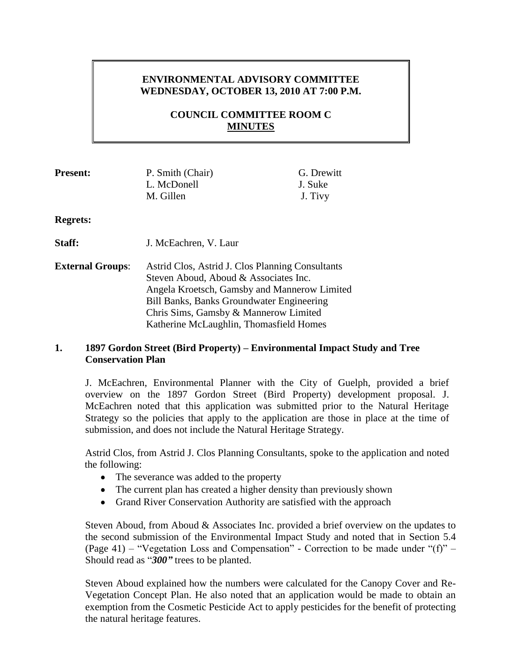### **ENVIRONMENTAL ADVISORY COMMITTEE WEDNESDAY, OCTOBER 13, 2010 AT 7:00 P.M.**

## **COUNCIL COMMITTEE ROOM C MINUTES**

| <b>Present:</b>         | P. Smith (Chair)<br>L. McDonell<br>M. Gillen                                                                                                                                                                                    | G. Drewitt<br>J. Suke<br>J. Tivy |
|-------------------------|---------------------------------------------------------------------------------------------------------------------------------------------------------------------------------------------------------------------------------|----------------------------------|
| <b>Regrets:</b>         |                                                                                                                                                                                                                                 |                                  |
| Staff:                  | J. McEachren, V. Laur                                                                                                                                                                                                           |                                  |
| <b>External Groups:</b> | Astrid Clos, Astrid J. Clos Planning Consultants<br>Steven Aboud, Aboud & Associates Inc.<br>Angela Kroetsch, Gamsby and Mannerow Limited<br>Bill Banks, Banks Groundwater Engineering<br>Chris Sims, Gamsby & Mannerow Limited |                                  |

#### **1. 1897 Gordon Street (Bird Property) – Environmental Impact Study and Tree Conservation Plan**

Katherine McLaughlin, Thomasfield Homes

J. McEachren, Environmental Planner with the City of Guelph, provided a brief overview on the 1897 Gordon Street (Bird Property) development proposal. J. McEachren noted that this application was submitted prior to the Natural Heritage Strategy so the policies that apply to the application are those in place at the time of submission, and does not include the Natural Heritage Strategy.

Astrid Clos, from Astrid J. Clos Planning Consultants, spoke to the application and noted the following:

- The severance was added to the property
- The current plan has created a higher density than previously shown
- Grand River Conservation Authority are satisfied with the approach  $\bullet$

Steven Aboud, from Aboud & Associates Inc. provided a brief overview on the updates to the second submission of the Environmental Impact Study and noted that in Section 5.4 (Page 41) – "Vegetation Loss and Compensation" - Correction to be made under "(f)" – Should read as "*300"* trees to be planted.

Steven Aboud explained how the numbers were calculated for the Canopy Cover and Re-Vegetation Concept Plan. He also noted that an application would be made to obtain an exemption from the Cosmetic Pesticide Act to apply pesticides for the benefit of protecting the natural heritage features.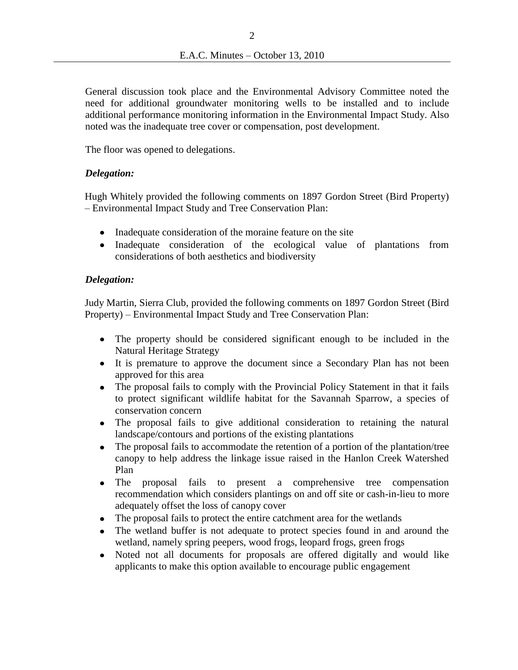General discussion took place and the Environmental Advisory Committee noted the need for additional groundwater monitoring wells to be installed and to include additional performance monitoring information in the Environmental Impact Study. Also noted was the inadequate tree cover or compensation, post development.

The floor was opened to delegations.

#### *Delegation:*

Hugh Whitely provided the following comments on 1897 Gordon Street (Bird Property) – Environmental Impact Study and Tree Conservation Plan:

- Inadequate consideration of the moraine feature on the site
- $\bullet$ Inadequate consideration of the ecological value of plantations from considerations of both aesthetics and biodiversity

#### *Delegation:*

Judy Martin, Sierra Club, provided the following comments on 1897 Gordon Street (Bird Property) – Environmental Impact Study and Tree Conservation Plan:

- The property should be considered significant enough to be included in the Natural Heritage Strategy
- It is premature to approve the document since a Secondary Plan has not been approved for this area
- The proposal fails to comply with the Provincial Policy Statement in that it fails  $\bullet$ to protect significant wildlife habitat for the Savannah Sparrow, a species of conservation concern
- The proposal fails to give additional consideration to retaining the natural  $\bullet$ landscape/contours and portions of the existing plantations
- The proposal fails to accommodate the retention of a portion of the plantation/tree canopy to help address the linkage issue raised in the Hanlon Creek Watershed Plan
- $\bullet$ The proposal fails to present a comprehensive tree compensation recommendation which considers plantings on and off site or cash-in-lieu to more adequately offset the loss of canopy cover
- The proposal fails to protect the entire catchment area for the wetlands
- The wetland buffer is not adequate to protect species found in and around the  $\bullet$ wetland, namely spring peepers, wood frogs, leopard frogs, green frogs
- Noted not all documents for proposals are offered digitally and would like  $\bullet$ applicants to make this option available to encourage public engagement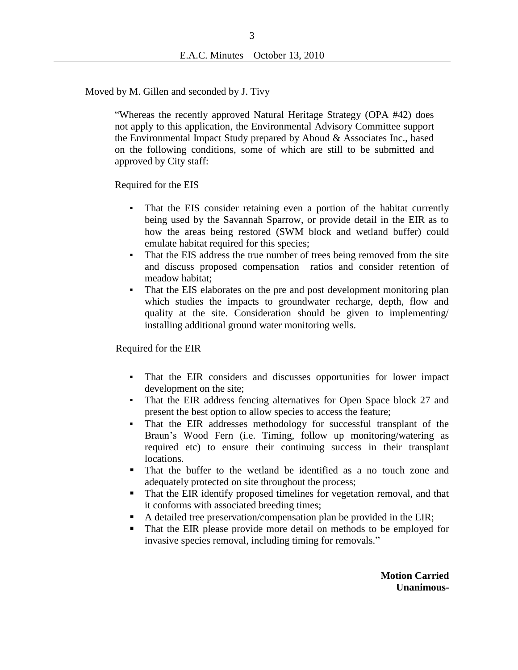Moved by M. Gillen and seconded by J. Tivy

"Whereas the recently approved Natural Heritage Strategy (OPA #42) does not apply to this application, the Environmental Advisory Committee support the Environmental Impact Study prepared by Aboud & Associates Inc., based on the following conditions, some of which are still to be submitted and approved by City staff:

Required for the EIS

- That the EIS consider retaining even a portion of the habitat currently being used by the Savannah Sparrow, or provide detail in the EIR as to how the areas being restored (SWM block and wetland buffer) could emulate habitat required for this species;
- That the EIS address the true number of trees being removed from the site and discuss proposed compensation ratios and consider retention of meadow habitat;
- That the EIS elaborates on the pre and post development monitoring plan which studies the impacts to groundwater recharge, depth, flow and quality at the site. Consideration should be given to implementing/ installing additional ground water monitoring wells.

Required for the EIR

- That the EIR considers and discusses opportunities for lower impact development on the site;
- That the EIR address fencing alternatives for Open Space block 27 and present the best option to allow species to access the feature;
- That the EIR addresses methodology for successful transplant of the Braun's Wood Fern (i.e. Timing, follow up monitoring/watering as required etc) to ensure their continuing success in their transplant locations.
- That the buffer to the wetland be identified as a no touch zone and adequately protected on site throughout the process;
- That the EIR identify proposed timelines for vegetation removal, and that it conforms with associated breeding times;
- A detailed tree preservation/compensation plan be provided in the EIR;
- That the EIR please provide more detail on methods to be employed for invasive species removal, including timing for removals."

**Motion Carried Unanimous-**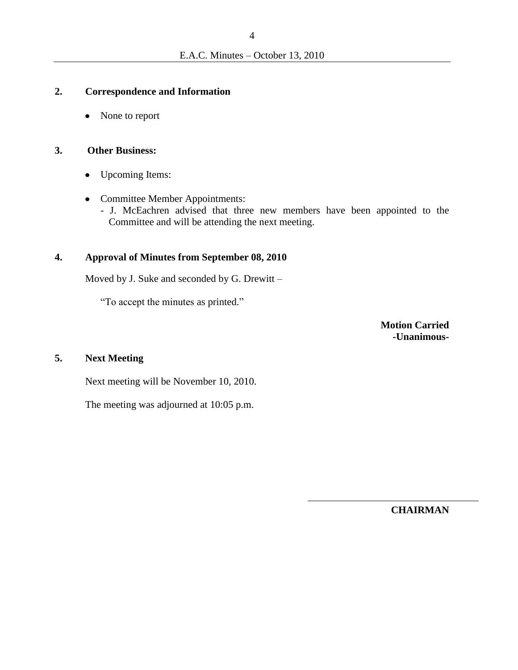#### **2. Correspondence and Information**

• None to report

#### **3. Other Business:**

- $\bullet$ Upcoming Items:
- Committee Member Appointments:
	- J. McEachren advised that three new members have been appointed to the Committee and will be attending the next meeting.

#### **4. Approval of Minutes from September 08, 2010**

Moved by J. Suke and seconded by G. Drewitt –

"To accept the minutes as printed."

**Motion Carried -Unanimous-**

#### **5. Next Meeting**

Next meeting will be November 10, 2010.

The meeting was adjourned at 10:05 p.m.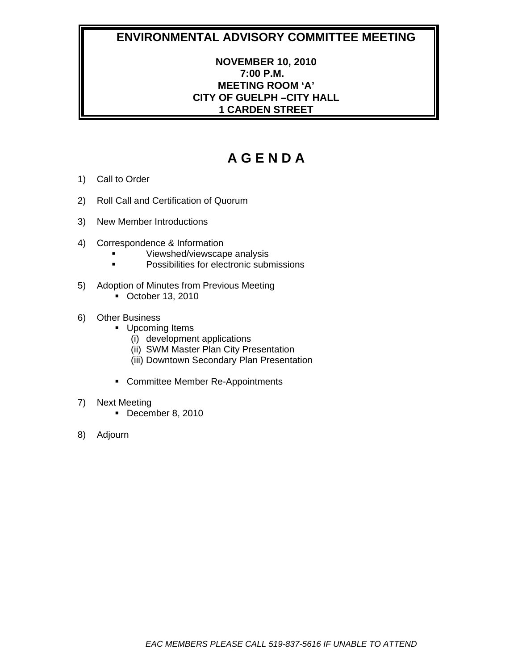## **NOVEMBER 10, 2010 7:00 P.M. MEETING ROOM 'A' CITY OF GUELPH –CITY HALL 1 CARDEN STREET**

- 1) Call to Order
- 2) Roll Call and Certification of Quorum
- 3) New Member Introductions
- 4) Correspondence & Information
	- Viewshed/viewscape analysis
	- **Possibilities for electronic submissions**
- 5) Adoption of Minutes from Previous Meeting
	- October 13, 2010
- 6) Other Business
	- **Upcoming Items** 
		- (i) development applications
		- (ii) SWM Master Plan City Presentation
		- (iii) Downtown Secondary Plan Presentation
	- **EXECOMMITTEE Member Re-Appointments**
- 7) Next Meeting
	- December 8, 2010
- 8) Adjourn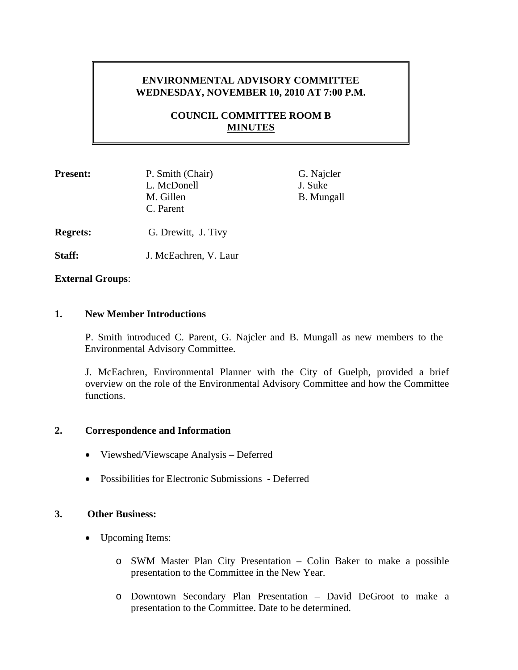## **ENVIRONMENTAL ADVISORY COMMITTEE WEDNESDAY, NOVEMBER 10, 2010 AT 7:00 P.M.**

## **COUNCIL COMMITTEE ROOM B MINUTES**

| <b>Present:</b> | P. Smith (Chair)<br>L. McDonell | G. Najcler<br>J. Suke |
|-----------------|---------------------------------|-----------------------|
|                 | M. Gillen<br>C. Parent          | <b>B.</b> Mungall     |
| <b>Regrets:</b> | G. Drewitt, J. Tivy             |                       |

Staff: **J. McEachren, V. Laur** 

**External Groups**:

#### **1. New Member Introductions**

 P. Smith introduced C. Parent, G. Najcler and B. Mungall as new members to the Environmental Advisory Committee.

J. McEachren, Environmental Planner with the City of Guelph, provided a brief overview on the role of the Environmental Advisory Committee and how the Committee functions.

#### **2. Correspondence and Information**

- Viewshed/Viewscape Analysis Deferred
- Possibilities for Electronic Submissions Deferred

#### **3. Other Business:**

- Upcoming Items:
	- o SWM Master Plan City Presentation Colin Baker to make a possible presentation to the Committee in the New Year.
	- o Downtown Secondary Plan Presentation David DeGroot to make a presentation to the Committee. Date to be determined.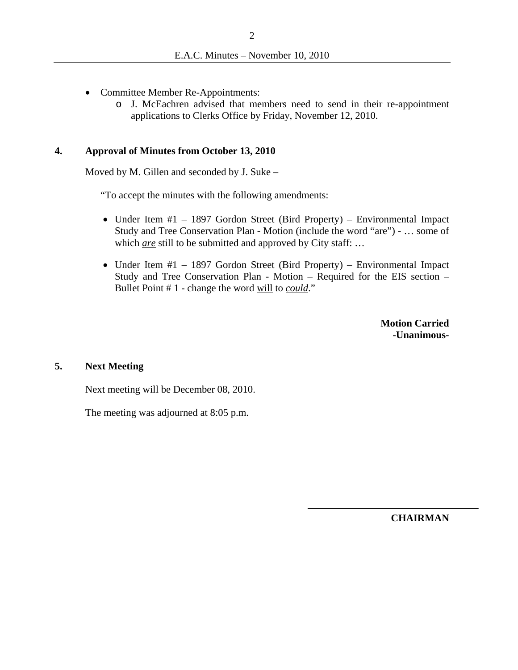- Committee Member Re-Appointments:
	- o J. McEachren advised that members need to send in their re-appointment applications to Clerks Office by Friday, November 12, 2010.

#### **4. Approval of Minutes from October 13, 2010**

Moved by M. Gillen and seconded by J. Suke –

"To accept the minutes with the following amendments:

- Under Item #1 1897 Gordon Street (Bird Property) Environmental Impact Study and Tree Conservation Plan - Motion (include the word "are") - … some of which *are* still to be submitted and approved by City staff: ...
- Under Item  $#1 1897$  Gordon Street (Bird Property) Environmental Impact Study and Tree Conservation Plan - Motion – Required for the EIS section – Bullet Point # 1 - change the word will to *could*."

**Motion Carried -Unanimous-**

#### **5. Next Meeting**

Next meeting will be December 08, 2010.

The meeting was adjourned at 8:05 p.m.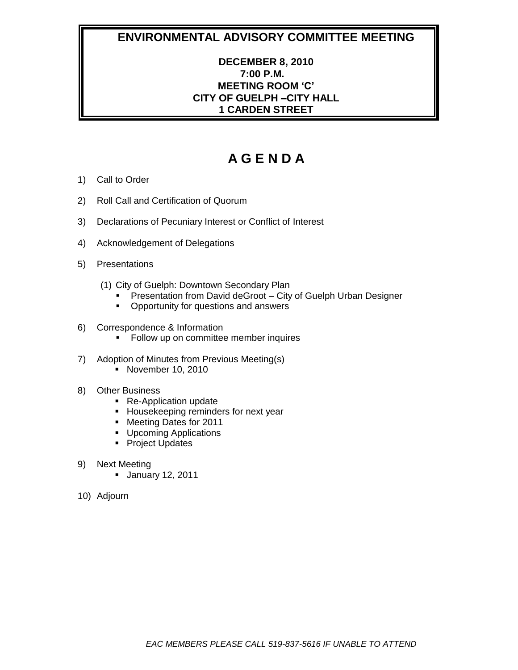## **DECEMBER 8, 2010 7:00 P.M. MEETING ROOM 'C' CITY OF GUELPH –CITY HALL 1 CARDEN STREET**

- 1) Call to Order
- 2) Roll Call and Certification of Quorum
- 3) Declarations of Pecuniary Interest or Conflict of Interest
- 4) Acknowledgement of Delegations
- 5) Presentations
	- (1) City of Guelph: Downtown Secondary Plan
		- **Presentation from David deGroot City of Guelph Urban Designer**
		- **•** Opportunity for questions and answers
- 6) Correspondence & Information
	- **Follow up on committee member inquires**
- 7) Adoption of Minutes from Previous Meeting(s)
	- **November 10, 2010**
- 8) Other Business
	- Re-Application update
	- **Housekeeping reminders for next year**
	- Meeting Dates for 2011
	- **Upcoming Applications**
	- **Project Updates**
- 9) Next Meeting
	- **January 12, 2011**
- 10) Adjourn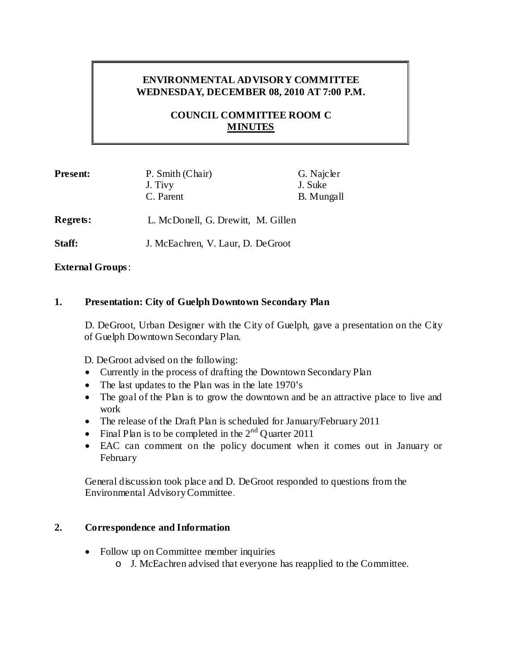## **ENVIRONMENTAL ADVISORY COMMITTEE WEDNESDAY, DECEMBER 08, 2010 AT 7:00 P.M.**

## **COUNCIL COMMITTEE ROOM C MINUTES**

| <b>Present:</b> | P. Smith (Chair) | G. Najcler        |
|-----------------|------------------|-------------------|
|                 | J. Tivy          | J. Suke           |
|                 | C. Parent        | <b>B.</b> Mungall |
|                 |                  |                   |

**Regrets:** L. McDonell, G. Drewitt, M. Gillen

**Staff:** J. McEachren, V. Laur, D. DeGroot

## **External Groups**:

## **1. Presentation: City of Guelph Downtown Secondary Plan**

D. DeGroot, Urban Designer with the City of Guelph, gave a presentation on the City of Guelph Downtown Secondary Plan.

D. DeGroot advised on the following:

- Currently in the process of drafting the Downtown Secondary Plan
- The last updates to the Plan was in the late 1970's
- The goal of the Plan is to grow the downtown and be an attractive place to live and work
- The release of the Draft Plan is scheduled for January/February 2011
- Final Plan is to be completed in the  $2<sup>nd</sup>$  Quarter 2011
- EAC can comment on the policy document when it comes out in January or February

General discussion took place and D. DeGroot responded to questions from the Environmental AdvisoryCommittee.

#### **2. Correspondence and Information**

- Follow up on Committee member inquiries
	- o J. McEachren advised that everyone has reapplied to the Committee.